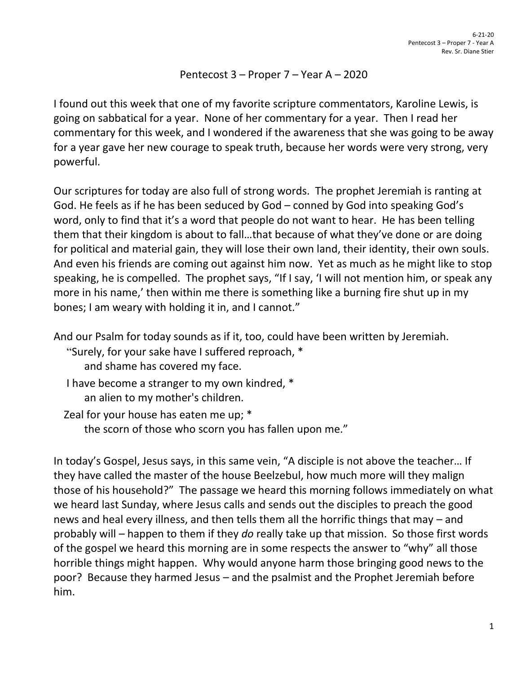## Pentecost 3 – Proper 7 – Year A – 2020

I found out this week that one of my favorite scripture commentators, Karoline Lewis, is going on sabbatical for a year. None of her commentary for a year. Then I read her commentary for this week, and I wondered if the awareness that she was going to be away for a year gave her new courage to speak truth, because her words were very strong, very powerful.

Our scriptures for today are also full of strong words. The prophet Jeremiah is ranting at God. He feels as if he has been seduced by God – conned by God into speaking God's word, only to find that it's a word that people do not want to hear. He has been telling them that their kingdom is about to fall…that because of what they've done or are doing for political and material gain, they will lose their own land, their identity, their own souls. And even his friends are coming out against him now. Yet as much as he might like to stop speaking, he is compelled. The prophet says, "If I say, 'I will not mention him, or speak any more in his name,' then within me there is something like a burning fire shut up in my bones; I am weary with holding it in, and I cannot."

And our Psalm for today sounds as if it, too, could have been written by Jeremiah.

"Surely, for your sake have I suffered reproach, \*

and shame has covered my face.

I have become a stranger to my own kindred, \* an alien to my mother's children.

Zeal for your house has eaten me up; \*

the scorn of those who scorn you has fallen upon me."

In today's Gospel, Jesus says, in this same vein, "A disciple is not above the teacher… If they have called the master of the house Beelzebul, how much more will they malign those of his household?" The passage we heard this morning follows immediately on what we heard last Sunday, where Jesus calls and sends out the disciples to preach the good news and heal every illness, and then tells them all the horrific things that may – and probably will – happen to them if they *do* really take up that mission. So those first words of the gospel we heard this morning are in some respects the answer to "why" all those horrible things might happen. Why would anyone harm those bringing good news to the poor? Because they harmed Jesus – and the psalmist and the Prophet Jeremiah before him.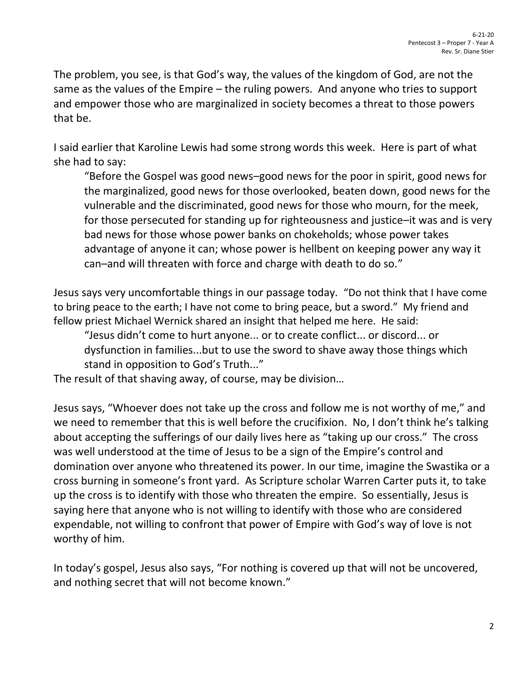The problem, you see, is that God's way, the values of the kingdom of God, are not the same as the values of the Empire – the ruling powers. And anyone who tries to support and empower those who are marginalized in society becomes a threat to those powers that be.

I said earlier that Karoline Lewis had some strong words this week. Here is part of what she had to say:

"Before the Gospel was good news–good news for the poor in spirit, good news for the marginalized, good news for those overlooked, beaten down, good news for the vulnerable and the discriminated, good news for those who mourn, for the meek, for those persecuted for standing up for righteousness and justice–it was and is very bad news for those whose power banks on chokeholds; whose power takes advantage of anyone it can; whose power is hellbent on keeping power any way it can–and will threaten with force and charge with death to do so."

Jesus says very uncomfortable things in our passage today. "Do not think that I have come to bring peace to the earth; I have not come to bring peace, but a sword." My friend and fellow priest Michael Wernick shared an insight that helped me here. He said:

"Jesus didn't come to hurt anyone... or to create conflict... or discord... or dysfunction in families...but to use the sword to shave away those things which stand in opposition to God's Truth..."

The result of that shaving away, of course, may be division…

Jesus says, "Whoever does not take up the cross and follow me is not worthy of me," and we need to remember that this is well before the crucifixion. No, I don't think he's talking about accepting the sufferings of our daily lives here as "taking up our cross." The cross was well understood at the time of Jesus to be a sign of the Empire's control and domination over anyone who threatened its power. In our time, imagine the Swastika or a cross burning in someone's front yard. As Scripture scholar Warren Carter puts it, to take up the cross is to identify with those who threaten the empire. So essentially, Jesus is saying here that anyone who is not willing to identify with those who are considered expendable, not willing to confront that power of Empire with God's way of love is not worthy of him.

In today's gospel, Jesus also says, "For nothing is covered up that will not be uncovered, and nothing secret that will not become known."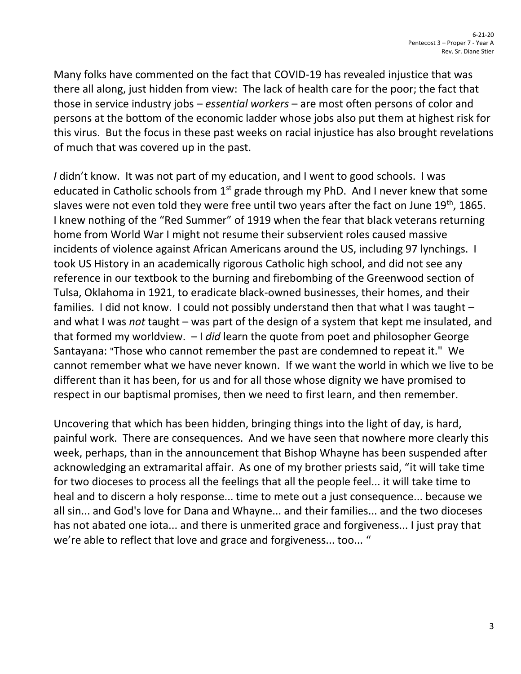Many folks have commented on the fact that COVID-19 has revealed injustice that was there all along, just hidden from view: The lack of health care for the poor; the fact that those in service industry jobs – *essential workers* – are most often persons of color and persons at the bottom of the economic ladder whose jobs also put them at highest risk for this virus. But the focus in these past weeks on racial injustice has also brought revelations of much that was covered up in the past.

*I* didn't know. It was not part of my education, and I went to good schools. I was educated in Catholic schools from  $1<sup>st</sup>$  grade through my PhD. And I never knew that some slaves were not even told they were free until two years after the fact on June 19<sup>th</sup>, 1865. I knew nothing of the "Red Summer" of 1919 when the fear that black veterans returning home from World War I might not resume their subservient roles caused massive incidents of violence against African Americans around the US, including 97 lynchings. I took US History in an academically rigorous Catholic high school, and did not see any reference in our textbook to the burning and firebombing of the Greenwood section of Tulsa, Oklahoma in 1921, to eradicate black-owned businesses, their homes, and their families. I did not know. I could not possibly understand then that what I was taught – and what I was *not* taught – was part of the design of a system that kept me insulated, and that formed my worldview. – I *did* learn the quote from poet and philosopher George Santayana: "Those who cannot remember the past are condemned to repeat it." We cannot remember what we have never known. If we want the world in which we live to be different than it has been, for us and for all those whose dignity we have promised to respect in our baptismal promises, then we need to first learn, and then remember.

Uncovering that which has been hidden, bringing things into the light of day, is hard, painful work. There are consequences. And we have seen that nowhere more clearly this week, perhaps, than in the announcement that Bishop Whayne has been suspended after acknowledging an extramarital affair. As one of my brother priests said, "it will take time for two dioceses to process all the feelings that all the people feel... it will take time to heal and to discern a holy response... time to mete out a just consequence... because we all sin... and God's love for Dana and Whayne... and their families... and the two dioceses has not abated one iota... and there is unmerited grace and forgiveness... I just pray that we're able to reflect that love and grace and forgiveness... too... "